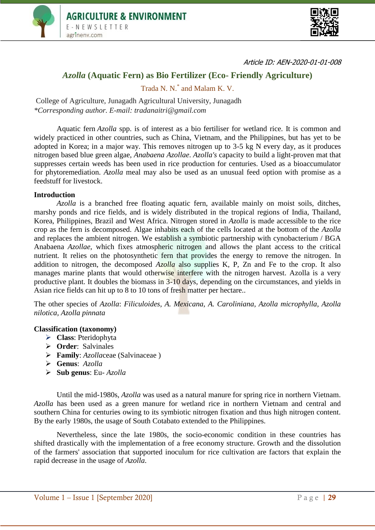



Article ID: AEN-2020-01-01-008

# *Azolla* **(Aquatic Fern) as Bio Fertilizer (Eco- Friendly Agriculture)**

Trada N. N.\* and Malam K. V.

College of Agriculture, Junagadh Agricultural University, Junagadh *\*Corresponding author. E-mail: tradanaitri@gmail.com*

Aquatic fern *Azolla* spp. is of interest as a bio fertiliser for wetland rice. It is common and widely practiced in other countries, such as China, Vietnam, and the Philippines, but has yet to be adopted in Korea; in a major way. This removes nitrogen up to 3-5 kg N every day, as it produces nitrogen based blue green algae, *Anabaena Azollae*. *Azolla's* capacity to build a light-proven mat that suppresses certain weeds has been used in rice production for centuries. Used as a bioaccumulator for phytoremediation. *Azolla* meal may also be used as an unusual feed option with promise as a feedstuff for livestock.

### **Introduction**

*Azolla* is a branched free floating aquatic fern, available mainly on moist soils, ditches, marshy ponds and rice fields, and is widely distributed in the tropical regions of India, Thailand, Korea, Philippines, Brazil and West Africa. Nitrogen stored in *Azolla* is made accessible to the rice crop as the fern is decomposed. Algae inhabits each of the cells located at the bottom of the *Azolla* and replaces the ambient nitrogen. We establish a symbiotic partnership with cynobacterium / BGA Anabaena *Azollae*, which fixes atmospheric nitrogen and allows the plant access to the critical nutrient*.* It relies on the photosynthetic fern that provides the energy to remove the nitrogen. In addition to nitrogen, the decomposed *Azolla* also supplies K, P, Zn and Fe to the crop. It also manages marine plants that would otherwise interfere with the nitrogen harvest. Azolla is a very productive plant. It doubles the biomass in 3-10 days, depending on the circumstances, and yields in Asian rice fields can hit up to 8 to 10 tons of fresh matter per hectare..

The other species of *Azolla*: *Filiculoides, A. Mexicana, A. Caroliniana, Azolla microphylla, Azolla nilotica, Azolla pinnata*

#### **Classification (taxonomy)**

- **Class**: Pteridophyta
- **Order**: Salvinales
- **Family**: *Azolla*ceae (Salvinaceae )
- **Genus**: *Azolla*
- **Sub genus**: Eu- *Azolla*

Until the mid-1980s, *Azolla* was used as a natural manure for spring rice in northern Vietnam. *Azolla* has been used as a green manure for wetland rice in northern Vietnam and central and southern China for centuries owing to its symbiotic nitrogen fixation and thus high nitrogen content. By the early 1980s, the usage of South Cotabato extended to the Philippines.

Nevertheless, since the late 1980s, the socio-economic condition in these countries has shifted drastically with the implementation of a free economy structure. Growth and the dissolution of the farmers' association that supported inoculum for rice cultivation are factors that explain the rapid decrease in the usage of *Azolla*.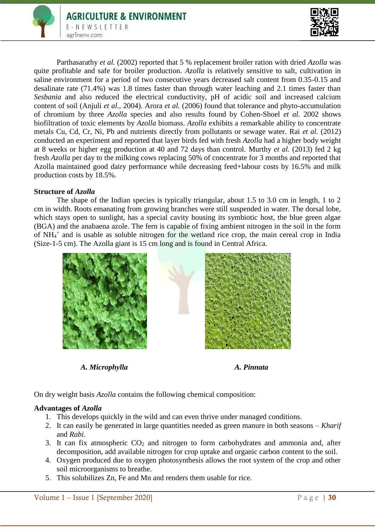

Parthasarathy *et al.* (2002) reported that 5 % replacement broiler ration with dried *Azolla* was quite profitable and safe for broiler production. *Azolla* is relatively sensitive to salt, cultivation in saline environment for a period of two consecutive years decreased salt content from 0.35-0.15 and desalinate rate (71.4%) was 1.8 times faster than through water leaching and 2.1 times faster than *Sesbania* and also reduced the electrical conductivity, pH of acidic soil and increased calcium content of soil (Anjuli *et al.*, 2004). Arora *et al.* (2006) found that tolerance and phyto-accumulation of chromium by three *Azolla* species and also results found by Cohen-Shoel *et al.* 2002 shows biofiltration of toxic elements by *Azolla* biomass. *Azolla* exhibits a remarkable ability to concentrate metals Cu, Cd, Cr, Ni, Pb and nutrients directly from pollutants or sewage water. Rai *et al.* (2012) conducted an experiment and reported that layer birds fed with fresh *Azolla* had a higher body weight at 8 weeks or higher egg production at 40 and 72 days than control. Murthy *et al.* (2013) fed 2 kg fresh *Azolla* per day to the milking cows replacing 50% of concentrate for 3 months and reported that Azolla maintained good dairy performance while decreasing feed+labour costs by 16.5% and milk production costs by 18.5%.

# **Structure of** *Azolla*

The shape of the Indian species is typically triangular, about 1.5 to 3.0 cm in length, 1 to 2 cm in width. Roots emanating from growing branches were still suspended in water. The dorsal lobe, which stays open to sunlight, has a special cavity housing its symbiotic host, the blue green algae (BGA) and the anabaena azole. The fern is capable of fixing ambient nitrogen in the soil in the form of NH<sub>4</sub><sup>+</sup> and is usable as soluble nitrogen for the wetland rice crop, the main cereal crop in India (Size-1-5 cm). The Azolla giant is 15 cm long and is found in Central Africa.



*A. Microphylla A. Pinnata*



On dry weight basis *Azolla* contains the following chemical composition:

# **Advantages of** *Azolla*

- 1. This develops quickly in the wild and can even thrive under managed conditions.
- 2. It can easily be generated in large quantities needed as green manure in both seasons *Kharif* and *Rabi*.
- 3. It can fix atmospheric  $CO<sub>2</sub>$  and nitrogen to form carbohydrates and ammonia and, after decomposition, add available nitrogen for crop uptake and organic carbon content to the soil.
- 4. Oxygen produced due to oxygen photosynthesis allows the root system of the crop and other soil microorganisms to breathe.
- 5. This solubilizes Zn, Fe and Mn and renders them usable for rice.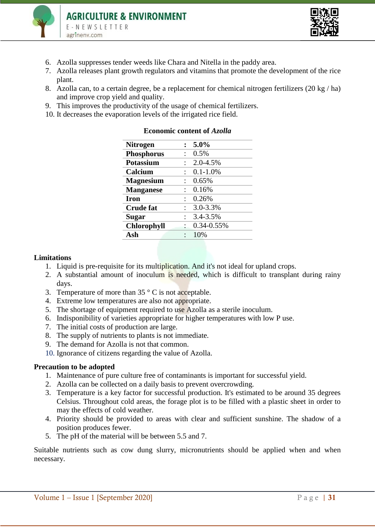



- 6. Azolla suppresses tender weeds like Chara and Nitella in the paddy area.
- 7. Azolla releases plant growth regulators and vitamins that promote the development of the rice plant.
- 8. Azolla can, to a certain degree, be a replacement for chemical nitrogen fertilizers (20 kg / ha) and improve crop yield and quality.
- 9. This improves the productivity of the usage of chemical fertilizers.
- 10. It decreases the evaporation levels of the irrigated rice field.

| <b>Nitrogen</b>    | 5.0%          |
|--------------------|---------------|
| <b>Phosphorus</b>  | 0.5%          |
| <b>Potassium</b>   | 2.0-4.5%      |
| Calcium            | $0.1 - 1.0\%$ |
| <b>Magnesium</b>   | 0.65%         |
| <b>Manganese</b>   | 0.16%         |
| <b>Iron</b>        | 0.26%         |
| <b>Crude fat</b>   | 3.0-3.3%      |
| <b>Sugar</b>       | 3.4-3.5%      |
| <b>Chlorophyll</b> | 0.34-0.55%    |
| Ash                | 10%           |

### **Economic content of** *Azolla*

### **Limitations**

- 1. Liquid is pre-requisite for its multiplication. And it's not ideal for upland crops.
- 2. A substantial amount of inoculum is needed, which is difficult to transplant during rainy days.
- 3. Temperature of more than  $35 \degree$  C is not acceptable.
- 4. Extreme low temperatures are also not appropriate.
- 5. The shortage of equipment required to use Azolla as a sterile inoculum.
- 6. Indisponibility of varieties appropriate for higher temperatures with low P use.
- 7. The initial costs of production are large.
- 8. The supply of nutrients to plants is not immediate.
- 9. The demand for Azolla is not that common.
- 10. Ignorance of citizens regarding the value of Azolla.

### **Precaution to be adopted**

- 1. Maintenance of pure culture free of contaminants is important for successful yield.
- 2. Azolla can be collected on a daily basis to prevent overcrowding.
- 3. Temperature is a key factor for successful production. It's estimated to be around 35 degrees Celsius. Throughout cold areas, the forage plot is to be filled with a plastic sheet in order to may the effects of cold weather.
- 4. Priority should be provided to areas with clear and sufficient sunshine. The shadow of a position produces fewer.
- 5. The pH of the material will be between 5.5 and 7.

Suitable nutrients such as cow dung slurry, micronutrients should be applied when and when necessary.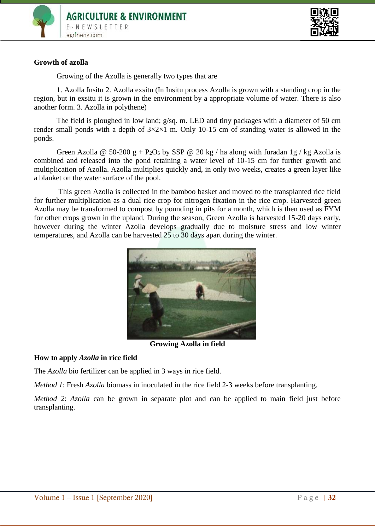



### **Growth of azolla**

Growing of the Azolla is generally two types that are

1. Azolla Insitu 2. Azolla exsitu (In Insitu process Azolla is grown with a standing crop in the region, but in exsitu it is grown in the environment by a appropriate volume of water. There is also another form. 3. Azolla in polythene)

The field is ploughed in low land; g/sq. m. LED and tiny packages with a diameter of 50 cm render small ponds with a depth of  $3\times2\times1$  m. Only 10-15 cm of standing water is allowed in the ponds.

Green Azolla @ 50-200 g + P<sub>2</sub>O<sub>5</sub> by SSP @ 20 kg / ha along with furadan 1g / kg Azolla is combined and released into the pond retaining a water level of 10-15 cm for further growth and multiplication of Azolla. Azolla multiplies quickly and, in only two weeks, creates a green layer like a blanket on the water surface of the pool.

This green Azolla is collected in the bamboo basket and moved to the transplanted rice field for further multiplication as a dual rice crop for nitrogen fixation in the rice crop. Harvested green Azolla may be transformed to compost by pounding in pits for a month, which is then used as FYM for other crops grown in the upland. During the season, Green Azolla is harvested 15-20 days early, however during the winter Azolla develops gradually due to moisture stress and low winter temperatures, and Azolla can be harvested 25 to 30 days apart during the winter.



**Growing Azolla in field**

### **How to apply** *Azolla* **in rice field**

The *Azolla* bio fertilizer can be applied in 3 ways in rice field.

*Method 1*: Fresh *Azolla* biomass in inoculated in the rice field 2-3 weeks before transplanting.

*Method 2*: *Azolla* can be grown in separate plot and can be applied to main field just before transplanting.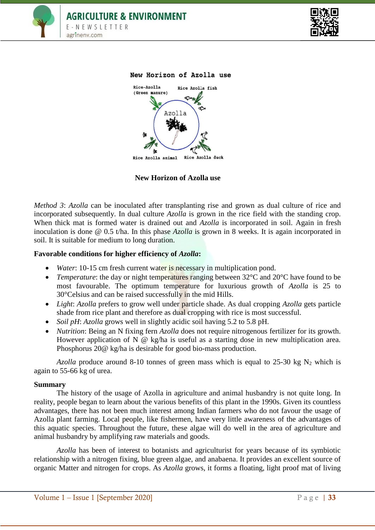



#### New Horizon of Azolla use



**New Horizon of Azolla use**

*Method 3*: *Azolla* can be inoculated after transplanting rise and grown as dual culture of rice and incorporated subsequently. In dual culture *Azolla* is grown in the rice field with the standing crop. When thick mat is formed water is drained out and *Azolla* is incorporated in soil. Again in fresh inoculation is done @ 0.5 t/ha. In this phase *Azolla* is grown in 8 weeks. It is again incorporated in soil. It is suitable for medium to long duration.

### **Favorable conditions for higher efficiency of** *Azolla***:**

- *Water*: 10-15 cm fresh current water is necessary in multiplication pond.
- *Temperature*: the day or night temperatures ranging between 32°C and 20°C have found to be most favourable. The optimum temperature for luxurious growth of *Azolla* is 25 to 30°Celsius and can be raised successfully in the mid Hills.
- *Light: Azolla* prefers to grow well under **particle** shade. As dual cropping *Azolla* gets particle shade from rice plant and therefore as dual cropping with rice is most successful.
- *Soil pH*: *Azolla* grows well in slightly acidic soil having 5.2 to 5.8 pH.
- *Nutrition*: Being an N fixing fern *Azolla* does not require nitrogenous fertilizer for its growth. However application of N @ kg/ha is useful as a starting dose in new multiplication area. Phosphorus 20@ kg/ha is desirable for good bio-mass production.

*Azolla* produce around 8-10 tonnes of green mass which is equal to 25-30 kg  $N_2$  which is again to 55-66 kg of urea.

### **Summary**

The history of the usage of Azolla in agriculture and animal husbandry is not quite long. In reality, people began to learn about the various benefits of this plant in the 1990s. Given its countless advantages, there has not been much interest among Indian farmers who do not favour the usage of Azolla plant farming. Local people, like fishermen, have very little awareness of the advantages of this aquatic species. Throughout the future, these algae will do well in the area of agriculture and animal husbandry by amplifying raw materials and goods.

*Azolla* has been of interest to botanists and agriculturist for years because of its symbiotic relationship with a nitrogen fixing, blue green algae, and anabaena. It provides an excellent source of organic Matter and nitrogen for crops. As *Azolla* grows, it forms a floating, light proof mat of living